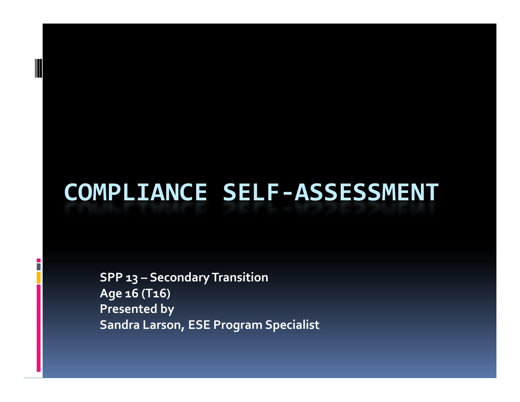### **COMPLIANCE SELF‐ASSESSMENT**

**SPP 13 – Secondary SecondaryTransition Transition Age 16 (T16) Presented by Sandra Larson, ESE Program Specialist**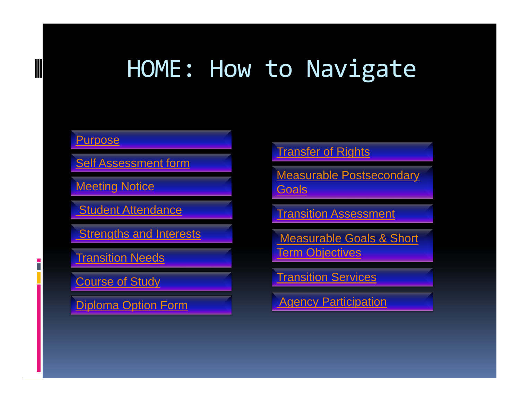### HOME: How to Navigate

#### **Purpose**

Self Assessment form

Meeting Notice

Student Attendance

Strengths and Interests

Transition Needs

Course of Study

Diploma Option Form

### Transfer of Rights

Measurable Postsecondary **Goals** 

Transition Assessment

Measurable Goals & Short Term Objectives

Transition Services

Agency Participation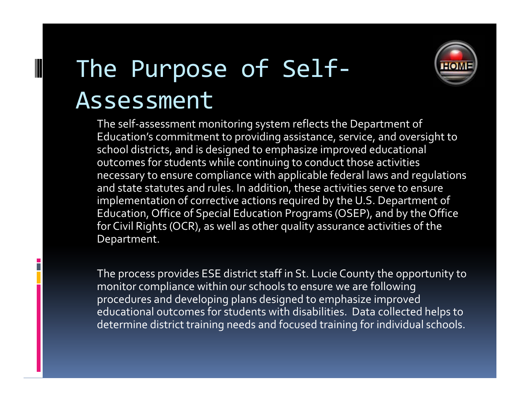# The Purpose of Self‐ Assessment

The self‐assessment monitoring system reflects the Department of Education's commitment to providing assistance, service, and oversight to school districts, and is designed to emphasize improved educational outcomes for students while continuing to conduct those activities necessary to ensure compliance with applicable federal laws and regulations and state statutes and rules. In addition, these activities serve to ensure implementation of corrective actions required by the U.S. Department of Education, Office of Special Education Programs (OSEP), and by the Office for Civil Rights (OCR), as well as other quality assurance activities of the Department.

The process provides ESE district staff in St. Lucie County the opportunity to monitor compliance within our schools to ensure we are following procedures and developing plans designed to emphasize improved educational outcomes for students with disabilities. Data collected helps to determine district training needs and focused training for individual schools.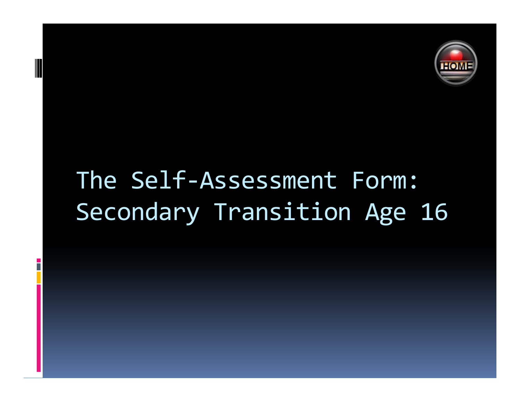

# The Self-Assessment Form: Secondary Transition Age 16

F.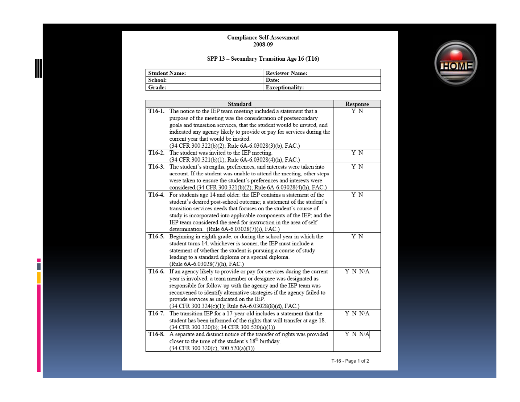### Compliance Self-Assessment<br>2008-09

#### SPP 13 - Secondary Transition Age 16 (T16)

 $\frac{1}{2}$ Ш

| Student Name: | <b>Reviewer Name:</b>  |
|---------------|------------------------|
| School:       | Date:                  |
| ' Grade:      | <b>Exceptionality:</b> |

|        | <b>Standard</b>                                                              | Response |
|--------|------------------------------------------------------------------------------|----------|
|        | T16-1. The notice to the IEP team meeting included a statement that a        | ΥN       |
|        | purpose of the meeting was the consideration of postsecondary                |          |
|        | goals and transition services, that the student would be invited, and        |          |
|        | indicated any agency likely to provide or pay for services during the        |          |
|        | current year that would be invited.                                          |          |
|        | (34 CFR 300.322(b)(2); Rule 6A-6.03028(3)(b), FAC.)                          |          |
|        | T16-2. The student was invited to the IEP meeting.                           | Y N      |
|        | (34 CFR 300.321(b)(1); Rule 6A-6.03028(4)(h), FAC.)                          |          |
|        | T16-3. The student's strengths, preferences, and interests were taken into   | ΥN       |
|        | account. If the student was unable to attend the meeting, other steps        |          |
|        | were taken to ensure the student's preferences and interests were            |          |
|        | considered.(34 CFR 300.321(b)(2); Rule 6A-6.03028(4)(h), FAC.)               |          |
|        | T16-4. For students age 14 and older: the IEP contains a statement of the    | ΥN       |
|        | student's desired post-school outcome; a statement of the student's          |          |
|        | transition services needs that focuses on the student's course of            |          |
|        | study is incorporated into applicable components of the IEP; and the         |          |
|        | IEP team considered the need for instruction in the area of self             |          |
|        | determination. (Rule 6A-6.03028(7)(i), FAC.)                                 |          |
| T16-5. | Beginning in eighth grade, or during the school year in which the            | ΥN       |
|        | student turns 14, whichever is sooner, the IEP must include a                |          |
|        | statement of whether the student is pursuing a course of study               |          |
|        | leading to a standard diploma or a special diploma.                          |          |
|        | (Rule 6A-6.03028(7)(h), FAC.)                                                |          |
| T16-6. | If an agency likely to provide or pay for services during the current        | Y N N/A  |
|        | year is involved, a team member or designee was designated as                |          |
|        | responsible for follow-up with the agency and the IEP team was               |          |
|        | reconvened to identify alternative strategies if the agency failed to        |          |
|        | provide services as indicated on the IEP.                                    |          |
|        | (34 CFR 300.324(c)(1); Rule 6A-6.03028(8)(d), FAC.)                          |          |
|        | T16-7. The transition IEP for a 17-year-old includes a statement that the    | Y N N/A  |
|        | student has been informed of the rights that will transfer at age 18.        |          |
|        | (34 CFR 300.320(b); 34 CFR 300.520(a)(1))                                    |          |
|        | T16-8. A separate and distinct notice of the transfer of rights was provided | Y N N/A  |
|        | closer to the time of the student's $18th$ birthday.                         |          |
|        | $(34$ CFR 300.320(c), 300.520(a)(1))                                         |          |



T-16 - Page 1 of 2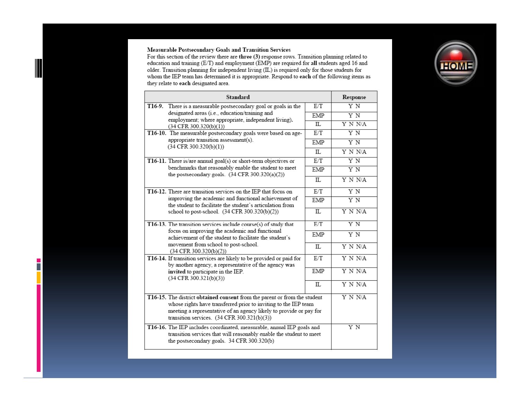#### Measurable Postsecondary Goals and Transition Services

 $\blacksquare$ IIIL

 $\overline{\phantom{a}}$ 

For this section of the review there are three (3) response rows. Transition planning related to<br>For this section of the review there are three (3) response rows. Transition planning related to<br>education and training (E/T they relate to each designated area.

|                                                                           | <b>Standard</b>                                                                                                                       |            | Response |
|---------------------------------------------------------------------------|---------------------------------------------------------------------------------------------------------------------------------------|------------|----------|
|                                                                           | T16-9. There is a measurable postsecondary goal or goals in the                                                                       | E/T        | Y N      |
|                                                                           | designated areas (i.e., education/training and<br>employment; where appropriate, independent living).                                 | EMP        | Y N      |
|                                                                           | $(34$ CFR 300.320(b)(1))                                                                                                              | IL.        | Y N N/A  |
|                                                                           | T16-10. The measurable postsecondary goals were based on age-                                                                         | E/T        | Y N      |
|                                                                           | appropriate transition assessment(s).<br>$(34$ CFR 300.320(b)(1))                                                                     | EMP        | Y N      |
|                                                                           |                                                                                                                                       | IL.        | Y N N/A  |
|                                                                           | T16-11. There is/are annual goal(s) or short-term objectives or                                                                       | E/T        | ΥN       |
|                                                                           | benchmarks that reasonably enable the student to meet<br>the postsecondary goals. (34 CFR 300.320(a)(2))                              | EMP        | Y N      |
|                                                                           |                                                                                                                                       |            | Y N N/A  |
|                                                                           | T16-12. There are transition services on the IEP that focus on                                                                        | E/T        | Y N      |
|                                                                           | improving the academic and functional achievement of<br>the student to facilitate the student's articulation from                     |            | Y N      |
|                                                                           | school to post-school. (34 CFR 300.320(b)(2))                                                                                         | IL.        | Y N N/A  |
|                                                                           | T16-13. The transition services include course(s) of study that                                                                       | E/T        | Y N      |
|                                                                           | focus on improving the academic and functional<br>achievement of the student to facilitate the student's                              | <b>EMP</b> | ΥN       |
|                                                                           | movement from school to post-school.<br>$(34$ CFR 300.320(b)(2))                                                                      | IL.        | Y N N/A  |
|                                                                           | T16-14. If transition services are likely to be provided or paid for<br>by another agency, a representative of the agency was         | E/T        | Y N N/A  |
|                                                                           | invited to participate in the IEP.<br>$(34$ CFR 300.321(b)(3))                                                                        | EMP        | Y N N/A  |
|                                                                           |                                                                                                                                       | IL.        | Y N N/A  |
| T16-15. The district obtained consent from the parent or from the student | whose rights have transferred prior to inviting to the IEP team<br>meeting a representative of an agency likely to provide or pay for | Y N N/A    |          |
| T16-16. The IEP includes coordinated, measurable, annual IEP goals and    | ΥN                                                                                                                                    |            |          |

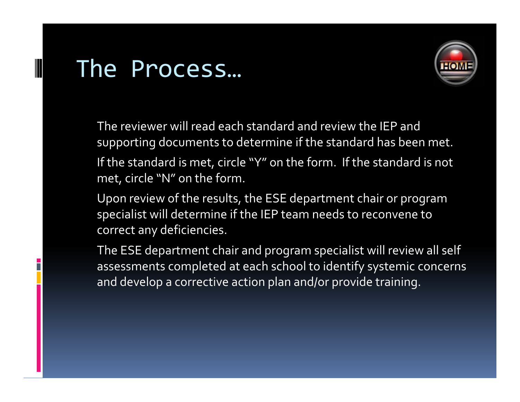## The Process…



The reviewer will read each standard and review the IEP and supporting documents to determine if the standard has been met. If the standard is met, circle "Y" on the form. If the standard is not met, circle "N" on the form.

Upon review of the results, the ESE department chair or program specialist will determine if the IEP team needs to reconvene to correct any deficiencies.

The ESE department chair and program specialist will review all self assessments completed at each school to identify systemic concerns and develop <sup>a</sup> corrective action plan and/or provide training.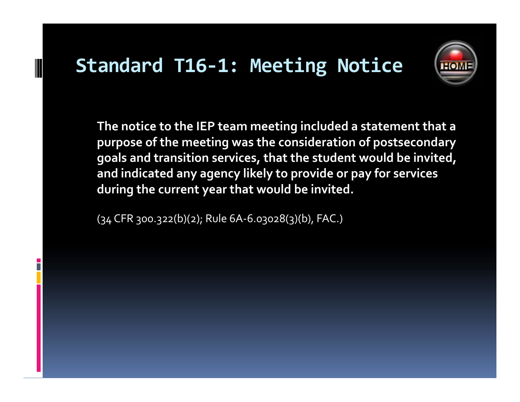### **Standard T16‐1: Meeting Notice**



**The notice to the IEP team meeting included <sup>a</sup> statement that <sup>a</sup> purpose of the meeting was the consideration of postsecondary goals and transition services, that the student would be invited, and indicated any agency likely to provide or pay for services during the current year that would be invited.**

(34 CFR 300.322(b)(2); Rule 6A‐6.03028(3)(b), FAC.)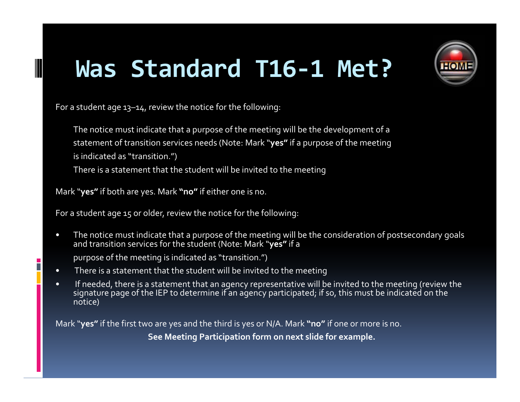# **Was Standard T16‐1 Met?**



For a student age 13–14, review the notice for the following:

The notice must indicate that <sup>a</sup> purpose of the meeting will be the development of <sup>a</sup> statement of transition services needs (Note: Mark "**yes"** if <sup>a</sup> purpose of the meeting is indicated as "transition.")

There is <sup>a</sup> statement that the student will be invited to the meeting

Mark "**yes"** if both are yes. Mark **"no"** if either one is no.

For a student age <sup>15</sup> or older, review the notice for the following:

 $\bullet$  The notice must indicate that <sup>a</sup> purpose of the meeting will be the consideration of postsecondary goals and transition services for the student (Note: Mark "**yes"** if <sup>a</sup>

purpose of the meeting is indicated as "transition.")

B

- •There is <sup>a</sup> statement that the student will be invited to the meeting
- • If needed, there is <sup>a</sup> statement that an agency representative will be invited to the meeting (review the signature page of the IEP to determine if an agency participated; if so, this must be indicated on the notice)

Mark "**yes"** if the first two are yes and the third is yes or N/A. Mark **"no"** if one or more is no.

**See Meeting Participation form on next slide for example.**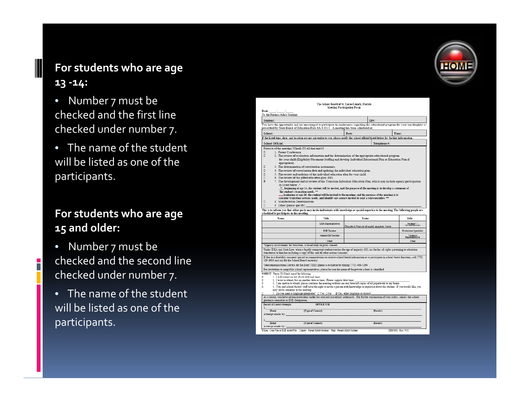### **For students who are age 13 ‐14:**

- Number 7 must be checked and the first line checked under number 7.
- The name of the student will be listed as one of the participants.

### **For students who are age 15 and older:**

 $\bullet$  Number 7 must be checked and the second line checked under number 7.

 $\overline{\phantom{a}}$ 

• The name of the student will be listed as one of the participants.



| To the Parents/Adult Student:                                                                                                                                                                                                                                                                                                                                                                                                                                                                                                                                                                                                                                                                                                                                                                                                                                                                                                                                                                                                                                                                                                                                                      |                           |                                 |              |                               |  |
|------------------------------------------------------------------------------------------------------------------------------------------------------------------------------------------------------------------------------------------------------------------------------------------------------------------------------------------------------------------------------------------------------------------------------------------------------------------------------------------------------------------------------------------------------------------------------------------------------------------------------------------------------------------------------------------------------------------------------------------------------------------------------------------------------------------------------------------------------------------------------------------------------------------------------------------------------------------------------------------------------------------------------------------------------------------------------------------------------------------------------------------------------------------------------------|---------------------------|---------------------------------|--------------|-------------------------------|--|
| Student:                                                                                                                                                                                                                                                                                                                                                                                                                                                                                                                                                                                                                                                                                                                                                                                                                                                                                                                                                                                                                                                                                                                                                                           |                           |                                 | $ID#$ :      |                               |  |
| You have the opportunity and are encouraged to participate in conferences regarding the educational program for your son/daughter as<br>prescribed by State Board of Education Rule 6A-6.0331. A meeting has been scheduled at:                                                                                                                                                                                                                                                                                                                                                                                                                                                                                                                                                                                                                                                                                                                                                                                                                                                                                                                                                    |                           |                                 |              |                               |  |
| School:                                                                                                                                                                                                                                                                                                                                                                                                                                                                                                                                                                                                                                                                                                                                                                                                                                                                                                                                                                                                                                                                                                                                                                            |                           | Date:                           | Time:        |                               |  |
| If the listed time, date, and location are not agreeable to you, please notify the school official listed below for further information.                                                                                                                                                                                                                                                                                                                                                                                                                                                                                                                                                                                                                                                                                                                                                                                                                                                                                                                                                                                                                                           |                           |                                 |              |                               |  |
| School Official:                                                                                                                                                                                                                                                                                                                                                                                                                                                                                                                                                                                                                                                                                                                                                                                                                                                                                                                                                                                                                                                                                                                                                                   |                           |                                 | Telephone #: |                               |  |
| Purpose of the meeting [Check (Y) all that apply]                                                                                                                                                                                                                                                                                                                                                                                                                                                                                                                                                                                                                                                                                                                                                                                                                                                                                                                                                                                                                                                                                                                                  |                           |                                 |              |                               |  |
| 1. Parent Conference<br>п<br>□<br>2. The review of evaluation information and the determination of the appropriate educational program<br>for your child (Eligibility/Placement Staffing and develop Individual Educational Plan or Education Plan if<br>appropriate).<br>α<br>3. The determination of reevaluation instruments.<br>α<br>4. The review of reevaluation data and updating the individual education plan.<br>α<br>5. The review and updating of the individual education plan for your child.<br>α<br>6. The review of the gifted education plan (EP).<br>図<br>7. The development and/or review of the Transition Individual Education Plan, which may include agency participation<br>as listed below .*<br>$\times$ beginning at age 14, the student will be invited, and the purpose of the meeting is to develop a statement of<br>the student's transition needs. **<br>beginning at age 16, the student will be invited to the meeting, and the purpose of the meeting is to سبب<br>consider transition services needs, and identify any agency invited to send a representative, **<br>□<br>8. Manifestation Determination.<br>о<br>9. Other (please specify) |                           |                                 |              |                               |  |
| This is to inform you that either party may invite individuals with knowledge or special expertise to the meeting. The following people are<br>scheduled to participate in this meeting:                                                                                                                                                                                                                                                                                                                                                                                                                                                                                                                                                                                                                                                                                                                                                                                                                                                                                                                                                                                           |                           |                                 |              |                               |  |
| Name                                                                                                                                                                                                                                                                                                                                                                                                                                                                                                                                                                                                                                                                                                                                                                                                                                                                                                                                                                                                                                                                                                                                                                               |                           |                                 |              |                               |  |
|                                                                                                                                                                                                                                                                                                                                                                                                                                                                                                                                                                                                                                                                                                                                                                                                                                                                                                                                                                                                                                                                                                                                                                                    | Title                     | Name                            |              | Title                         |  |
|                                                                                                                                                                                                                                                                                                                                                                                                                                                                                                                                                                                                                                                                                                                                                                                                                                                                                                                                                                                                                                                                                                                                                                                    | <b>LEA</b> Representative | Student Name should appear here |              | Student**<br>(as appropriate) |  |
|                                                                                                                                                                                                                                                                                                                                                                                                                                                                                                                                                                                                                                                                                                                                                                                                                                                                                                                                                                                                                                                                                                                                                                                    | <b>ESE Teacher</b>        |                                 |              |                               |  |
|                                                                                                                                                                                                                                                                                                                                                                                                                                                                                                                                                                                                                                                                                                                                                                                                                                                                                                                                                                                                                                                                                                                                                                                    | General Ed Teacher        |                                 |              | *Agency.<br>Representative    |  |
|                                                                                                                                                                                                                                                                                                                                                                                                                                                                                                                                                                                                                                                                                                                                                                                                                                                                                                                                                                                                                                                                                                                                                                                    | Other                     |                                 |              | Other                         |  |
| *Agency involvement for transition, is based only on prior consent.                                                                                                                                                                                                                                                                                                                                                                                                                                                                                                                                                                                                                                                                                                                                                                                                                                                                                                                                                                                                                                                                                                                |                           |                                 |              |                               |  |
| Under IDEA and State Law, when a legally competent student reaches the age of majority (18), he/she has all rights pertaining to education<br>transferred to him/her including a copy of this and all other notices/consents.<br>If due to a disability you need special accommodations to receive school board information or to participate in school board functions, call (772)<br>429-3600 and ask for the School Board secretary.<br>Telecommunications Device for the Deaf (TDD) phone is available by dialing (772) 468-5264.<br>For invitations to nonpublic school representatives, please be sure the name of the private school is identified.                                                                                                                                                                                                                                                                                                                                                                                                                                                                                                                         |                           |                                 |              |                               |  |
| PARENT: Please (Y) Check one of the following:<br>1. I will attend on the above date and time.<br>n.<br>2. I wish to attend, but on another date or time. Please suggest date/time:<br>3. I am unable to attend, please continue the meeting without me and forward copies of all paperwork to my home.<br>o<br>4. You and school/district staff have the right to invite a person with knowledge or expertise about the student. If you would like, you<br>п<br>may invite someone to the meeting.<br>5. Do you need a language interpreter? $\Box$ Yes $\Box$ No If Yes, what language or dialect:<br>As a parent, you have certain protections under the attached procedural safeguards. For further explanation of your rights, contact the school<br>guidance counselor or ESE chairperson.<br>Record of Contact Attempts:                                                                                                                                                                                                                                                                                                                                                    | <b>OFFICE USE</b>         |                                 |              | <b>Evaluation Specialist</b>  |  |
| (Date)<br>(Type of Contact)<br>Attempt made by:                                                                                                                                                                                                                                                                                                                                                                                                                                                                                                                                                                                                                                                                                                                                                                                                                                                                                                                                                                                                                                                                                                                                    |                           |                                 | (Results)    |                               |  |
| (Type of Contact)<br>(Date)                                                                                                                                                                                                                                                                                                                                                                                                                                                                                                                                                                                                                                                                                                                                                                                                                                                                                                                                                                                                                                                                                                                                                        |                           |                                 | (Results)    |                               |  |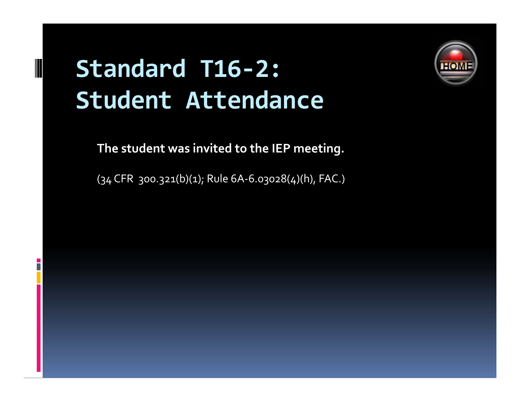# **Standard T16‐2: Student Attendance**

P.



### **The student was invited to the IEP meeting.**

 $(34$  CFR 300.321(b)(1); Rule 6A-6.03028(4)(h), FAC.)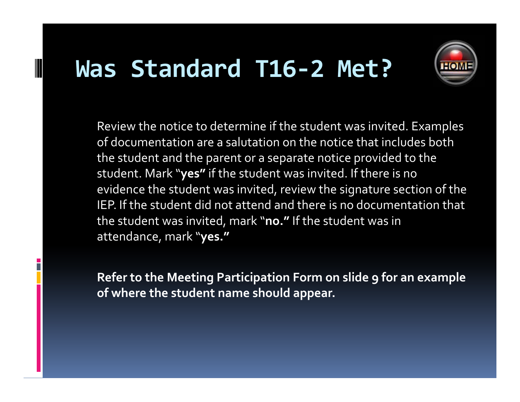## **Was Standard T16‐2 Met?**



Review the notice to determine if the student was invited. Examples of documentation are <sup>a</sup> salutation on the notice that includes both the student and the paren<sup>t</sup> or <sup>a</sup> separate notice provided to the student student. Mark "**yes"** if the student was invited invited. If there is no evidence the student was invited, review the signature section of the IEP. If the student did not attend and there is no documentation that the student was invited, mark "**no."** If the student was in attendance, mark "**yes."**

**Refer to the Meeting Participation Form on slide 9 for an example of where the student name should appear.**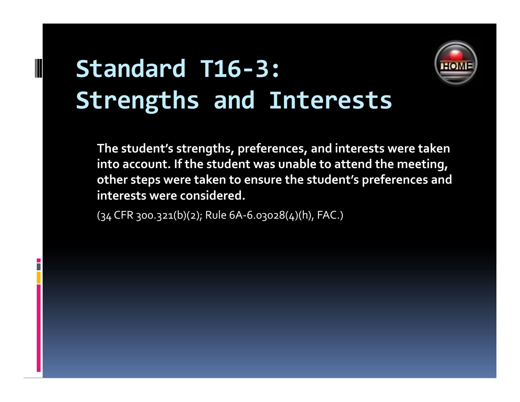# **Standard T16‐3: Strengths and Interests**



**The student's strengths, preferences, and interests were taken into account. If the student was unable to attend the meeting, other steps were taken to ensure the stud ' ent <sup>s</sup> preferences and interests were considered.**

(34 CFR 300.321(b)(2); Rule 6A‐6.03028(4)(h), FAC.)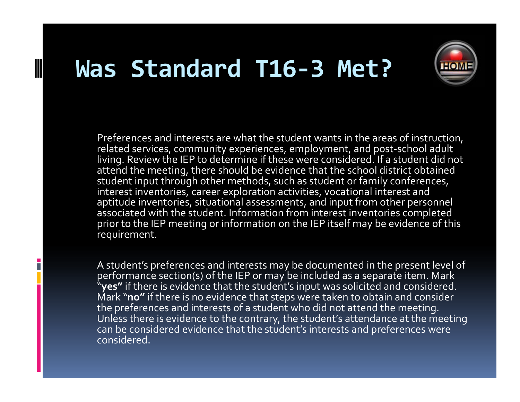## **Was Standard T16‐3 Met?**

B



Preferences and interests are what the student wants in the areas of instruction, related services, community experiences, employment, and post‐school adult living. Review the IEP to determine if these were considered. If a student did not attend the meeting, there should be evidence that the school district obtained student input through other methods, such as student or family conferences,  $\,$ interest inventories, career exploration activities, vocational interest and aptitude inventories, situational assessments, and input from other personnel associated with the student. Information from interest inventories completed prior to the IEP meeting or information on the IEP itself may be evidence of this requirement.

A student's preferences and interests may be documented in the presen<sup>t</sup> level of performance section(s) of the IEP or may be included as a separate item. Mark "**yes"** if there is evidence that the student's input was solicited and considered. Mark "**no"** if there is no evidence that steps were taken to obtain and consider the preferences and interests of <sup>a</sup> student who did not attend the meeting. Unless there is evidence to the contrary, the student's attendance at the meeting can be considered evidence that the student's interests and preferences were considered.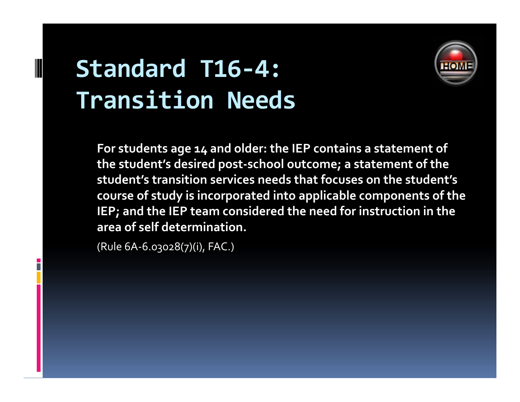# **Standard T16‐4: Transition Needs**



**For students age <sup>14</sup> and older: the IEP contains <sup>a</sup> statement of the student's desired post‐school outcome; <sup>a</sup> statement of the stud ' ent s transi it on services needs that focuses on the stud ' ent <sup>s</sup> course of study is incorporated into applicable components of the IEP; and the IEP team considered the need for instruction in the area of self determination determination.**

(Rule 6A‐6.03028(7)(i), FAC.)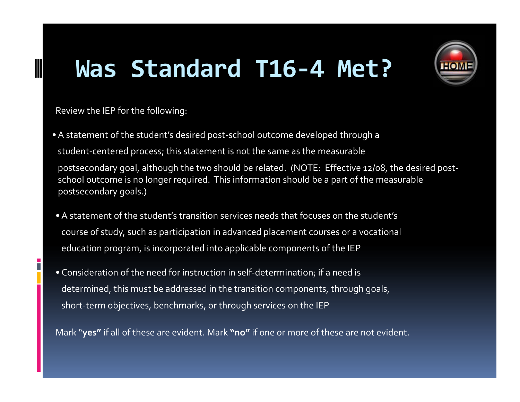# **Was Standard T16‐4 Met?**



Review the IEP for the following:

- •A statement of the student's desired post‐school outcome developed through <sup>a</sup> student‐centered process; this statement is not the same as the measurable postsecondary goal, although the two should be related. (NOTE: Effective 12/08, the desired postschool outcome is no longer required. This information should be <sup>a</sup> par<sup>t</sup> of the measurable postsecondary goals.)
- •A statement of the student's transition services needs that focuses on the student's course of study, such as participation in advanced placement courses or <sup>a</sup> vocational education program, is incorporated into applicable components of the IEP
- Consideration of the need for instruction in self‐determination; if <sup>a</sup> need is determined, this must be addressed in the transition components, through goals, short‐term objectives, benchmarks, or through services on the IEP

Mark "**yes"** if all of these are evident. Mark **"no"** if one or more of these are not evident.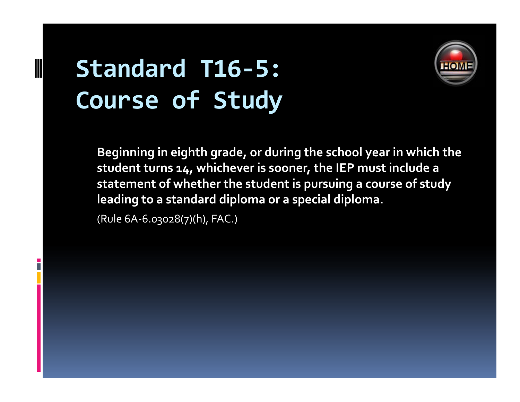# **Standard T16‐5: Course of Study**



**Beginning in eighth grade, or during the school year in which the student turns 14, whichever is sooner, the IEP must include <sup>a</sup> statement of whether the student is pursuing <sup>a</sup> course of study leading to <sup>a</sup> standard diploma or <sup>a</sup> special diploma.**

(Rule 6A‐6.03028(7)(h), FAC.)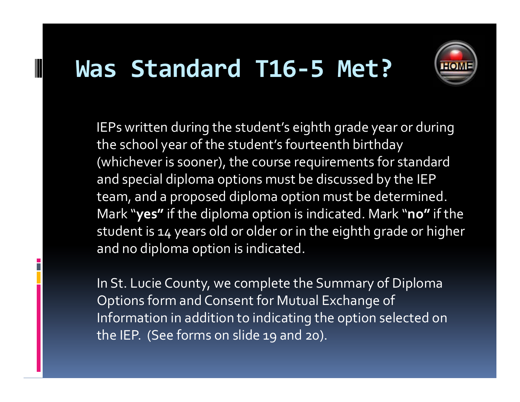## **Was Standard T16‐5 Met?**



IEPs written during the student's eighth grade year or during the school year of the student's fourteenth birthday (whichever is sooner), the course requirements for standard and special diploma options must be discussed by the IEP team, and <sup>a</sup> proposed diploma option must be determined. Mark "**yes"** if the diploma option is indicated. Mark "**no"** if the student is 14 years old or older or in the eighth grade or higher and no diploma option is indicated.

In St. Lucie County, we complete the Summary of Diploma Options form and Consent for Mutual Exchange of Information in addition to indicating the option selected on the IEP. (See forms on slide 19 and 20).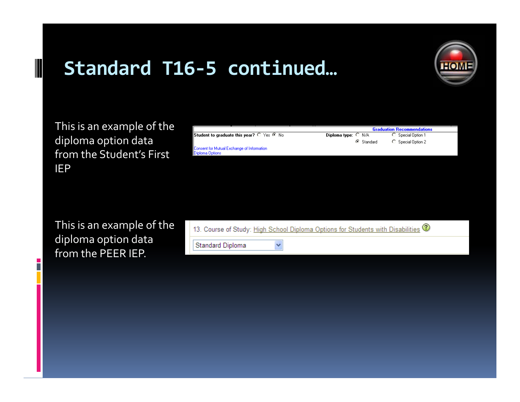

This is an example of the diploma option data from the Student's First IEP

n

|                                                             |                              |            | Graduation Hecommendations |  |
|-------------------------------------------------------------|------------------------------|------------|----------------------------|--|
| Student to graduate this year? $\cap$ Yes $\circledast$ No. | Diploma type: $\bigcirc$ N/A |            | C Special Option 1         |  |
|                                                             |                              | G Standard | C Special Option 2         |  |
| Consent for Mutual Exchange of Information :                |                              |            |                            |  |
| Diploma Options                                             |                              |            |                            |  |
|                                                             |                              |            |                            |  |

This is an example of the diploma option data from the PEER IEP.

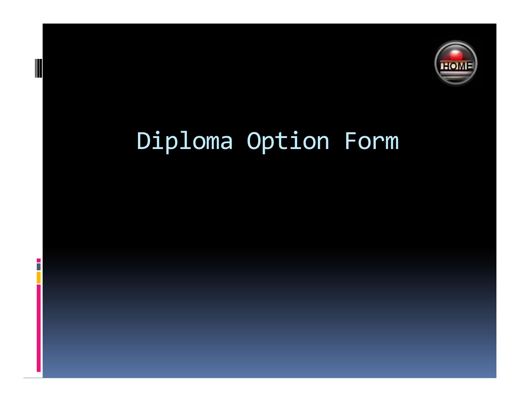

# Diploma Option Form

H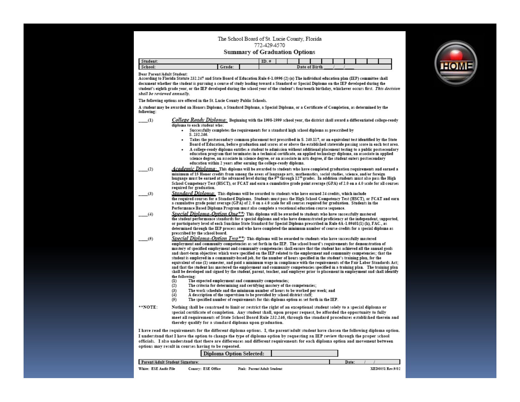#### The School Board of St. Lucie County, Florida 772-429-4570

#### **Summary of Graduation Options**

| Student.                    |  |  |       |              |  |  |  |
|-----------------------------|--|--|-------|--------------|--|--|--|
| C <sub>1</sub><br>- эспоог: |  |  | Date. | $2.772 - 41$ |  |  |  |

Dear Parent/Adult Student:

According to Florida Statute 232.247 and State Board of Education Rule 6-1.0996 (2) (a) The individual education plan (IEP) committee shall document whether the student is pursuing a course of study leading toward a Standard or Special Diploma on the IEP developed during the student's eighth grade vear, or the IEP developed during the school vear of the student's fourteenth birthday, whichever occurs first. This decision shall be reviewed annually.

The following options are offered in the St. Lucie County Public Schools.

A student may be awarded an Honors Diploma, a Standard Diploma, a Special Diploma, or a Certificate of Completion, as determined by the following:

- $(1)$ College Ready Diploma: Beginning with the 1998-1999 school year, the district shall award a differentiated college-ready diploma to each student who:
	- . Successfully completes the requirements for a standard high school diploma as prescribed by S. 232.246.
		- Takes the postsecondary common placement test prescribed in S. 240.117, or an equivalent test identified by the State  $\bullet$ Board of Education, before graduation and scores at or above the established statewide passing score in each test area.
	- A college-ready diploma entitles a student to admission without additional placement testing to a public postsecondary education program that terminates in a technical certificate, an applied technology diploma, an associate in applied science degree, an associate in science degree, or an associate in arts degree, if the student enters postsecondary education within 2 years after earning the college-ready diploma.
- Academic Divloma: This diploma will be awarded to students who have completed graduation requirements and earned a  $(2)$ minimum of 15 Honor credits from among the areas of language arts, mathematics, social studies, science, and/or foreign language must be earned at the advanced level during the 9<sup>th</sup> through 12<sup>th</sup> grades. In addition students must also pass the High School Competency Test (HSCT), or FCAT and earn a cumulative grade point average (GPA) of 2.0 on a 4.0 scale for all courses required for graduation.
- Standard Divloma: This diploma will be awarded to students who have earned 24 credits, which include  $(3)$ the required courses for a Standard Diploma. Students must pass the High School Competency Test (HSCT), or FCAT and earn a cumulative grade point average (GPA) of 2.0 on a 4.0 scale for all courses required for graduation. Students in the Performance Based Diploma Program must also complete a vocational education course sequence.
- Special Diploma-Option One\*\*; This diploma will be awarded to students who have successfully mastered  $(4)$ the student performance standards for a special diploma and who have demonstrated proficiency at the independent, supported, or participatory level of each Sunshine State Standard for Special Diploma prescribed in Rule 6A-1.09401(1) (h), FAC., as determined through the IEP process and who have completed the minimum number of course credits for a special diploma as prescribed by the school board.
- Special Diploma-Option  $Two**$ : This diploma will be awarded to students who have successfully mastered  $(5)$ employment and community competencies as set forth in the IEP. The school board's requirements for demonstration of mastery of specified employment and community competencies shall ensure that the student has achieved all the annual goals and short-term objectives which were specified on the IEP related to the employment and community competencies; that the student is employed in a community-based job, for the number of hours specified in the student's training plan, for the equivalent of one (1) semester, and paid a minimum wage in compliance with the requirements of the Fair Labor Standards Act; and that the student has mastered the employment and community competencies specified in a training plan. The training plan shall be developed and signed by the student, parent, teacher, and employer prior to placement in employment and shall identify the following:
	- The expected employment and community competencies;  $(1)$
	- $(2)$ The criteria for determining and certifying mastery of the competencies:
	- $(3)$ The work schedule and the minimum number of hours to be worked per week: and
	- $(4)$ A description of the supervision to be provided by school district staff:
	- The specified number of requirements for this diploma option as set forth in the IEP.  $(5)$
- \*\*NOTE: Nothing shall be construed to limit or restrict the right of an exceptional student solely to a special diploma or special certificate of completion. Any student shall, upon proper request, be afforded the opportunity to fully meet all requirements of State School Board Rule 232.246, through the standard procedures established therein and thereby qualify for a standard diploma upon graduation.

I have read the requirements for the different diploma options. I, the parent/adult student have chosen the following diploma option. I understand that I have the option to change the type of diploma option by requesting an IEP review through the proper school officials. I also understand that there are differences and different requirements for each diploma option and movement between options may result in courses having to be repeated.

|                                 |                    | Diploma Option Selected:   |       |                  |
|---------------------------------|--------------------|----------------------------|-------|------------------|
| Parent/Adult Student Signature: |                    |                            | Date: |                  |
| White: ESE Audit File           | Canary: ESE Office | Pink: Parent/Adult Student |       | XED0051 Rev 9/02 |

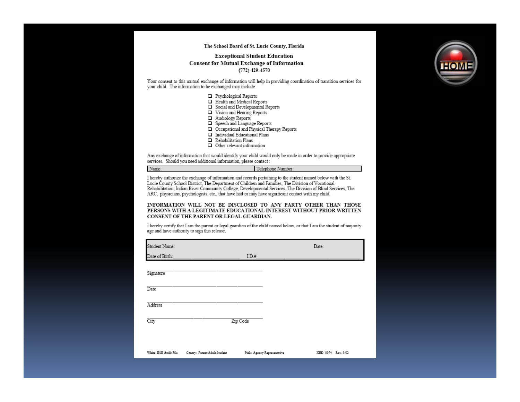#### The School Board of St. Lucie County, Florida

#### **Exceptional Student Education Consent for Mutual Exchange of Information**  $(772)$  429-4570

Your consent to this mutual exchange of information will help in providing coordination of transition services for your child. The information to be exchanged may include:

- Psychological Reports
- $\Box$  Health and Medical Reports
- Social and Developmental Reports
- Vision and Hearing Reports
- Audiology Reports
- Speech and Language Reports
- Occupational and Physical Therapy Reports
- Individual Educational Plans
- $\Box$  Rehabilitation Plans
- $\Box$  Other relevant information

Any exchange of information that would identify your child would only be made in order to provide appropriate services. Should you need additional information, please contact:

Name: Telephone Number:

I hereby authorize the exchange of information and records pertaining to the student named below with the St. Lucie County School District, The Department of Children and Families, The Division of Vocational Rehabilitation, Indian River Community College, Developmental Services, The Division of Blind Services, The ARC, physicians, psychologists, etc., that have had or may have significant contact with my child.

INFORMATION WILL NOT BE DISCLOSED TO ANY PARTY OTHER THAN THOSE PERSONS WITH A LEGITIMATE EDUCATIONAL INTEREST WITHOUT PRIOR WRITTEN CONSENT OF THE PARENT OR LEGAL GUARDIAN.

I hereby certify that I am the parent or legal guardian of the child named below, or that I am the student of majority age and have authority to sign this release.

| Student Name:         |                              |          |                             | Date:              |  |
|-----------------------|------------------------------|----------|-----------------------------|--------------------|--|
| Date of Birth:        |                              | ID.#     |                             |                    |  |
| Signature             |                              |          |                             |                    |  |
| Date                  |                              |          |                             |                    |  |
| Address               |                              |          |                             |                    |  |
| City                  |                              | Zip Code |                             |                    |  |
|                       |                              |          |                             |                    |  |
| White: ESE Audit File | Canary: Parent/Adult Student |          | Pink: Agency Representative | XED 0074 Rev. 9/02 |  |

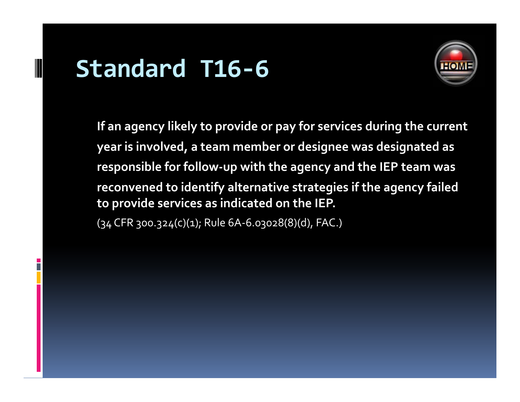## **Standard T16‐6**



**If an agency likely to provide or pay for services during the current year is involved, <sup>a</sup> team member or designee was designated as responsible for follow‐up with the agency and the IEP team was reconvened to identify alternative strategies if the agency failed to provide services as indicated on the IEP.**

(34 CFR 300.324(c)(1); Rule 6A‐6.03028(8)(d), FAC.)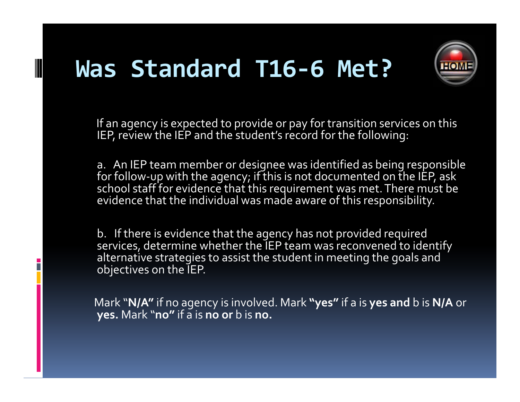# **Was Standard T16‐6 Met?**



If an agency is expected to provide or pay for transition services on this IEP, review the IEP and the student's record for the following:

a. An IEP team member or designee was identified as being responsible for follow‐up with the agency; if this is not documented on the IEP, ask school staff for evidence that this requirement was met.There must be evidence that the individual was made aware of this responsibility.

b. If there is evidence that the agency has not provided required services, determine whether the IEP team was reconvened to identify alternative strategies to assist the student in meeting the goals and objectives on the IEP.

Mark "**N/A"** if no agency is involved. Mark **"yes"** if <sup>a</sup> is **yes and** b is **N/A** or **yes.** Mark "**no"** if <sup>a</sup> is **no or** b is **no.**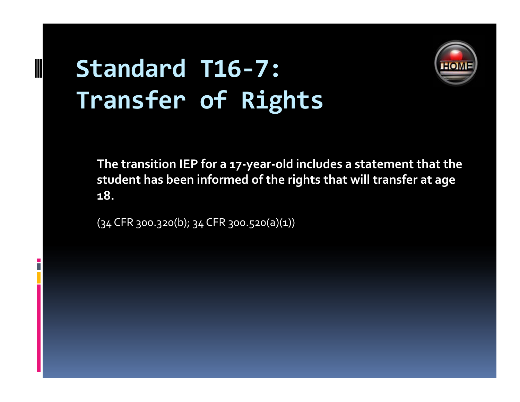# **Standard T16‐7: Transfer of Rights**



**The transition IEP for <sup>a</sup> <sup>17</sup>‐year‐old includes <sup>a</sup> statement that the student has been if d <sup>n</sup> ormedof the ri hg ts that will transfer at age 18.**

(34 CFR 300.320(b); 34 CFR 300.520(a)(1))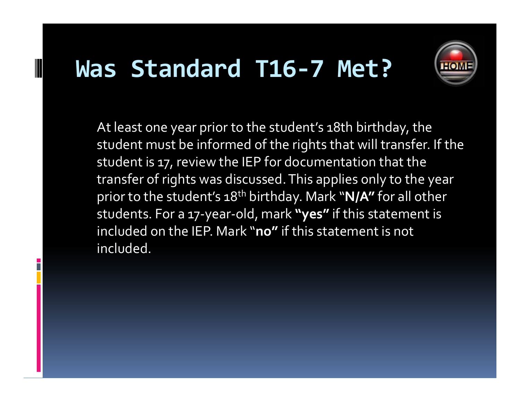## **Was Standard T16‐7 Met?**



At least one year prior to the student's 18th birthday, the student must be informed of the rights that will transfer. If the student is 17, review the IEP for documentation that the transfer of rights was discussed. This applies only to the year prior to the student's 18t<sup>h</sup> birthday. Mark "**N/A"** for all other students. For a <sup>17</sup>‐year‐old, mark **"yes"** if this statement is included on the IEP. Mark "**no"** if this statement is not included.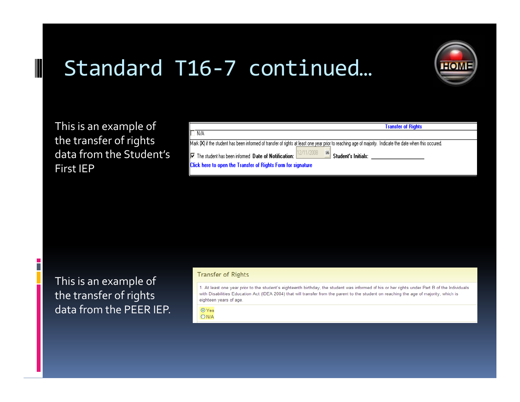

This is an example of the transfer of rights data from the Student's First IEP

Г

|                                                                                                                                                           | <b>Transfer of Rights</b> |
|-----------------------------------------------------------------------------------------------------------------------------------------------------------|---------------------------|
| $\Box$ N/A                                                                                                                                                |                           |
| Mark [X] if the student has been informed of transfer of rights at least one year prior to reaching age of majority. Indicate the date when this occured. |                           |
| $\nabla$ The student has been informed Date of Notification: $\frac{1271172008}{\sqrt{25}}$<br><sup>16</sup> Student's Initials:                          |                           |
| Click here to open the Transfer of Rights Form for signature                                                                                              |                           |

This is an example of the transfer of rights data from the PEER IEP.

#### **Transfer of Rights**

1. At least one year prior to the student's eighteenth birthday, the student was informed of his or her rights under Part B of the Individuals with Disabilities Education Act (IDEA 2004) that will transfer from the parent to the student on reaching the age of majority, which is eighteen years of age.

 $OYes$  $ON/A$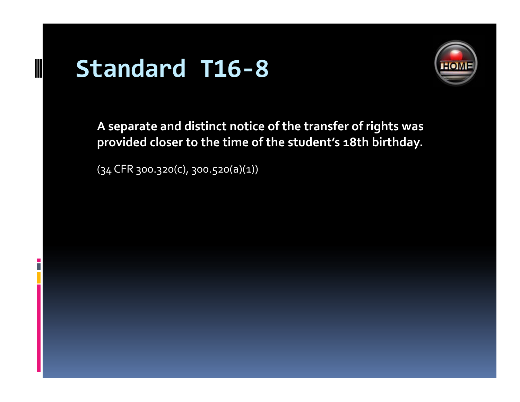# **Standard T16‐8**

B



**A separate and distinct notice of the transfer of rights was provided closer to the time of the student's 18th birthday.**

(34 CFR 300.320(c), 300.520(a)(1))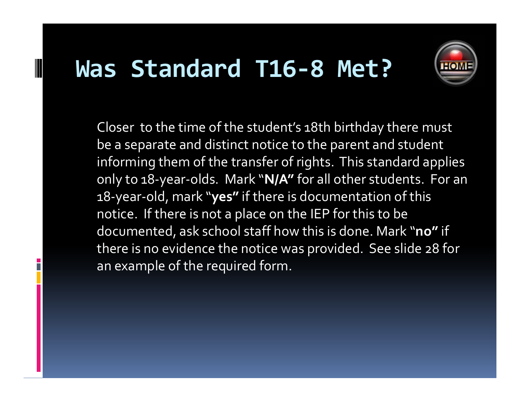### **Was Standard T16‐8 Met?**



Closer  $\,$  to the time of the student's 18th birthday there must be <sup>a</sup> separate and distinct notice to the paren<sup>t</sup> and student informing them of the transfer of rights. This standard applies only to 18-year-olds. Mark "N/A" for all other students. For an 18‐year‐old, mark "**yes"** if there is documentation of this notice. If there is not <sup>a</sup> place on the IEP for this to be documented, ask school staff how this is done. Mark "**no"** if there is no evidence the notice was provided. See slide 28 for an example of the required form.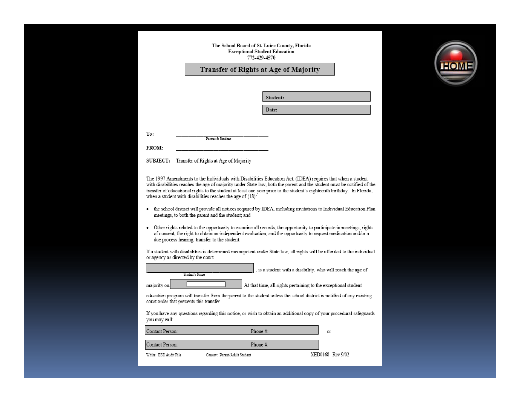#### The School Board of St. Luice County, Florida **Exceptional Student Education** 772-429-4570

#### Transfer of Rights at Age of Majority

Date:

Student:

To:

**FROM:** 

SUBJECT: Transfer of Rights at Age of Majority

Parent & Student

The 1997 Amendments to the Individuals with Disabilities Education Act. (IDEA) requires that when a student with disabilities reaches the age of majority under State law, both the parent and the student must be notified of the transfer of educational rights to the student at least one year prior to the student's eighteenth birthday. In Florida, when a student with disabilities reaches the age of (18).

- the school district will provide all notices required by IDEA, including invitations to Individual Education Plan meetings, to both the parent and the student; and
- Other rights related to the opportunity to examine all records, the opportunity to participate in meetings, rights of consent, the right to obtain an independent evaluation, and the opportunity to request medication and/or a due process hearing, transfer to the student.

If a student with disabilities is determined incompetent under State law, all rights will be afforded to the individual or agency as directed by the court.

|              | Student's Name |  |
|--------------|----------------|--|
| maiority onl |                |  |

, is a student with a disability, who will reach the age of

At that time, all rights pertaining to the exceptional student

education program will transfer from the parent to the student unless the school district is notified of any existing court order that prevents this transfer.

If you have any questions regarding this notice, or wish to obtain an additional copy of your procedural safeguards you may call:

| Contact Person:       | Phone $#$ :                  | Oľ               |
|-----------------------|------------------------------|------------------|
| Contact Person:       | Phone $#$ :                  |                  |
| White: ESE Audit File | Canary: Parent/Adult Student | XED0168 Rev 9/02 |

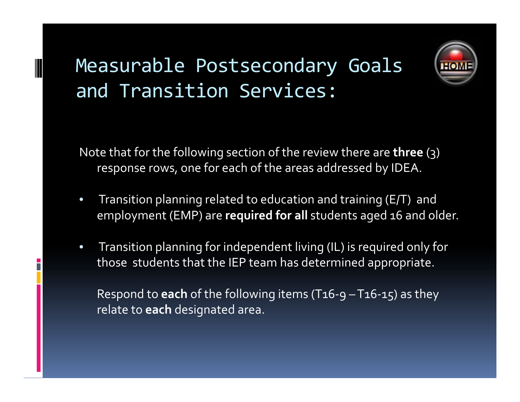### Measurable Postsecondary Goals and Transition Services:



Note that for the following section of the review there are **three** (3) response rows, one for each of the areas addressed by IDEA.

- • Transition planning related to education and training (E/T) and employment (EMP) are **required for all** students aged 16 and older.
- • Transition planning for independent living (IL) is required only for those students that the IEP team has determined appropriate.

Respond to **each** of the following items (T16‐9 – T16‐15) as they relate to **each** designated area.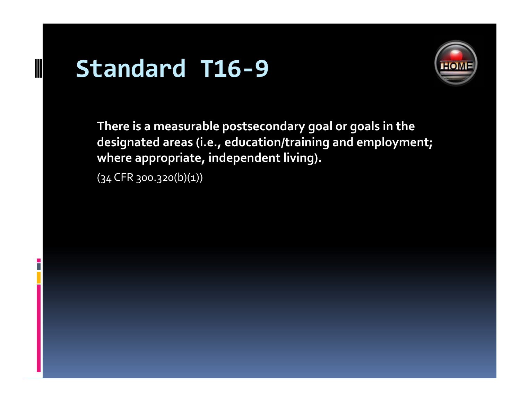# **Standard T16‐9**

n.



**There is <sup>a</sup> measurable postsecondary goal or goals in the designated areas (i.e., education/training and employment; where appropriate, independent living).**

 $(34$  CFR 300.320(b)(1))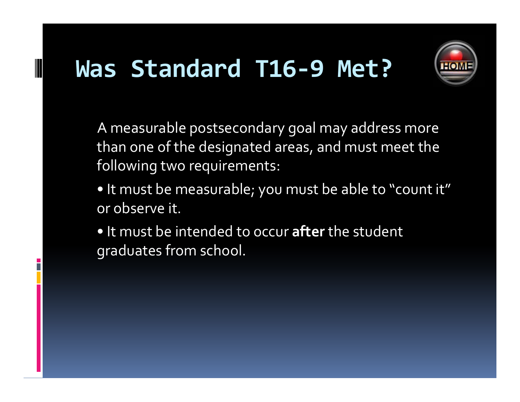# **Was Standard T16‐9 Met?**



A measurable postsecondary goal may address more than one of the designated areas, and must meet the following two requirements:

- It must be measurable; you must be able to "count it" or observe it.
- It must be intended to occur **after** the student graduates from school.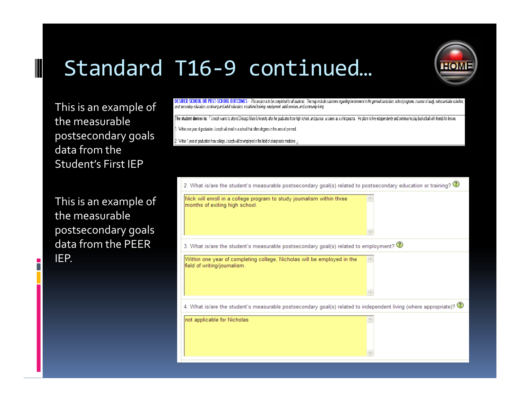

This is an example of the measurable postsecondary goals data from the Student's First IEP

 $\overline{\phantom{a}}$ 

This is an example of the measurable postsecondary goals data from the PEER IEP.

DESIRED SCHOOL OR POST-SCHOOL OUTCOMES - This section is to be completed for all students. This may include outcomes regarding involvement in the general curriculum, school programs, courses of study, extracurricular activ post secondary education, continuing and adult education, vocational training, employment, adult services, and community living.

The student desires to: "Joseph wants to attend Chicago State University after he graduates from high school, and pursue a career as a chiropractor. He plans to live independently and continue to play basketball with frien

1. Within one year of graduation, Joseph will enroll in a school that offers degrees in the area of pre-med.

. Within 1 year of graduation from college, Joseph will be employed in the field of chiropractic medicine

| 2. What is/are the student's measurable postsecondary goal(s) related to postsecondary education or training? $\circled{2}$    |
|--------------------------------------------------------------------------------------------------------------------------------|
| Nick will enroll in a college program to study journalism within three<br>months of exiting high school.                       |
| 3. What is/are the student's measurable postsecondary goal(s) related to employment? $\circled{2}$                             |
| Within one year of completing college, Nicholas will be employed in the<br>field of writing/journalism.                        |
| 4. What is/are the student's measurable postsecondary goal(s) related to independent living (where appropriate)? $\circled{2}$ |
| not applicable for Nicholas                                                                                                    |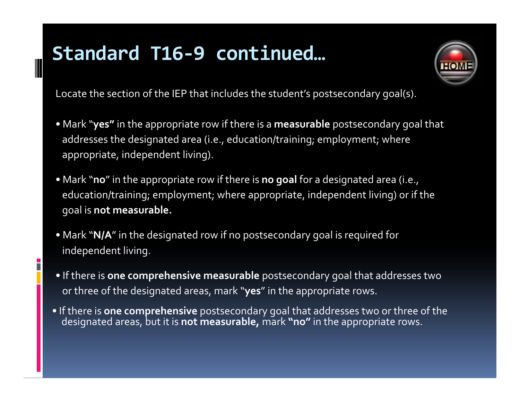

Locate the section of the IEP that includes the student's postsecondary goal(s).

- Mark "**yes"** in the appropriate row if there is <sup>a</sup> **measurable** postsecondary goal that addresses the designated area (i.e., education/training; employment; where appropriate, independent living).
- Mark "**no**" in the appropriate row if there is **no goal** for <sup>a</sup> d d esignatedarea (i.e., education/training; employment; where appropriate, independent living) or if the goal is **not measurable.**
- Mark "**N/A**" in the designated row if no postsecondary goal is required for independent living.
- If there is **one comprehensive measurable** postsecondary goal that addresses two or three of the designated areas, mark "**yes**" in the appropriate rows.
- If there is **one comprehensive** postsecondary goal that addresses two or three of the designated areas, but it is **not measurable,** mark **"no"** in the appropriate rows.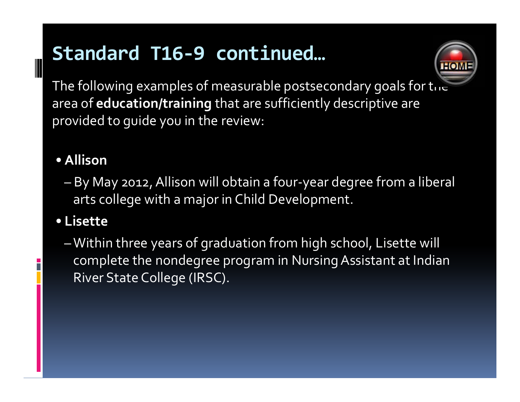

The following examples of measurable postsecondary goals for  ${\sf t}_0$  . area of **education/training** that are sufficiently descriptive are provided to guide you in the review:

### • **Allison**

– By May 2012,Allison will obtain <sup>a</sup> four‐year degree from <sup>a</sup> liberal arts college with <sup>a</sup> major in Child Development.

### • **Lisette**

–Within three years of graduation from high school, Lisette will complete the nondegree program in NursingAssistant at Indian River State College (IRSC).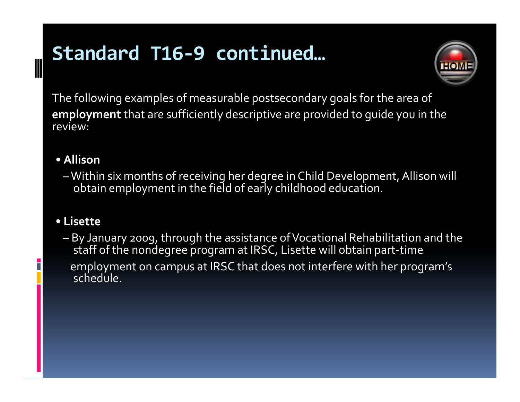

The following examples of measurable postsecondary goals for the area of **employment** that are sufficiently descriptive are provided to guide you in the review:

### • **Allison**

– Within six months of receiving her degree in Child Development, Allison will obtain employment in the field of early childhood education.

### • **Lisette**

 By January 2009, through the assistance ofVocational Rehabilitation and the staff of the nondegree program at IRSC, Lisette will obtain part‐time employment on campus at IRSC that does not interfere with her program's schedule.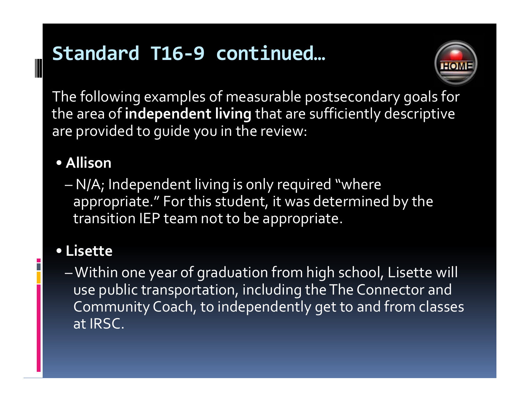

The following examples of measurable postsecondary goals for the area of **independent living** that are sufficiently descriptive are provided to guide you in the review:

### • **Allison**

 N/A; Independent living is only required "where appropriate." For this student, it was determined by the transition IEP team not to be appropriate.

### • **Lisette**

–Within one year of graduation from high school, Lisette will use public transportation, including theThe Connector and Community Coach, to independently ge<sup>t</sup> to and from classes at IRSC.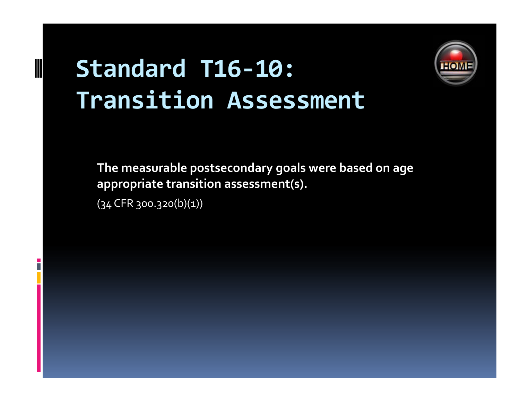# **Standard T16‐10: Transition Assessment**



**The measurable postsecondary goals were based on age appropriate transition assessment(s).**

(34 CFR 300.320(b)(1))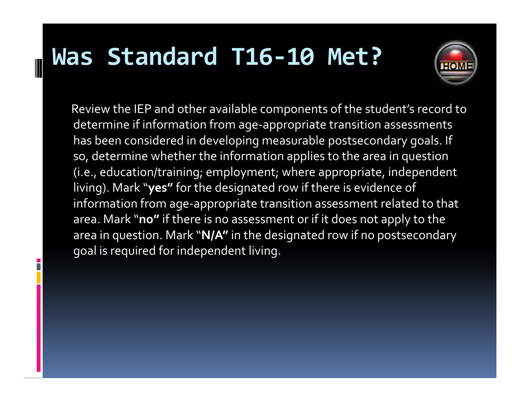# **Was Standard T16‐10 Met?**



Review the IEP and other available components of the student's record to determine if information from age‐appropriate transition assessments has been considered in developing measurable postsecondary goals. If so, determine whether the information applies to the area in question (i.e., education/training; employment; where appropriate, independent living). Mark "**yes"** for the designated row if there is evidence of information from age‐appropriate transition assessment related to that area. Mark "**no"** if there is no assessment or if it does not apply to the area in question. Mark "**N/A"** in the designated row if no postsecondary goal is required for independent living.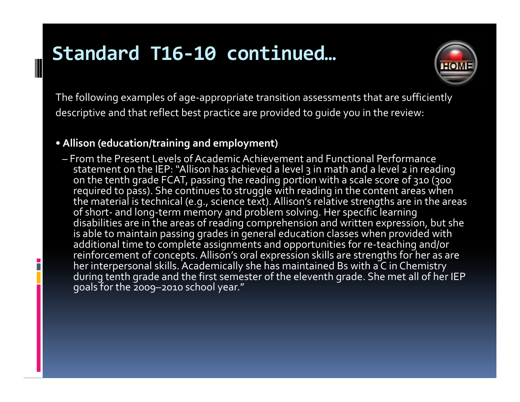

The following examples of age‐appropriate transition assessments that are sufficiently descriptive and that reflect best practice are provided to guide you in the review:

#### • **Allison (education/training and employment)**

B

– From the Present Levels of Academic Achievement and Functional Performance statement on the IEP: "Allison has achieved <sup>a</sup> level 3 in math and <sup>a</sup> level <sup>2</sup> in reading on the tenth grade FCAT, passing the reading portion with <sup>a</sup> scale score of 310 (300 required to pass). She continues to struggle with reading in the content areas when the material is technical (e.g., science text). Allison's relative strengths are in the areas of short‐ and long‐term memory and problem solving. Her specific learning disabilities are in the areas of reading comprehension and written expression, but she is able to maintain passing grades in general education classes when provided with additional time to complete assignments and opportunities for re‐teaching and/or reinforcement of concepts. Allison's oral expression skills are strengths for her as are her interpersonal skills. Academically she has maintained Bs with <sup>a</sup> C in Chemistry during tenth grade and the first semester of the eleventh grade. She met all of her IEP goals for the 2009–2010 school year."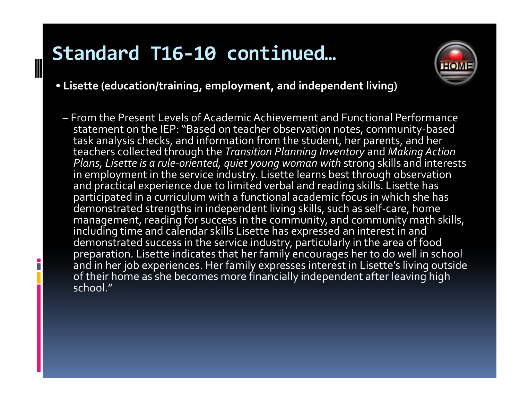B



- **Lisette (education/training, employment, and independent living)**
	- From the Present Levels of Academic Achievement and Functional Performance statement on the IEP: "Based on teacher observation notes, community-based<br>task analysis checks, and information from the student, her parents, and her teachers collected through the *Transition Planning Inventory* and *Making Action Plans, Lisette is a rule‐oriented, quiet young woman with* strong skills and interests in employment in the service industry. Lisette learns best through observation and practical experience due to limited verbal and reading skills. Lisette has participated in a curriculum with a functional academic focus in which she has demonstrated strengths in independent living skills, such as self‐care, home management, reading for success in the community, and community math skills, including time and calendar skills Lisette has expressed an interest in and demonstrated success in the service industry, particularly in the area of food preparation. Lisette indicates that her family encourages her to do well in school and in her job experiences. Her family expresses interest in Lisette's living outside of their home as she becomes more financially independent after leaving high school."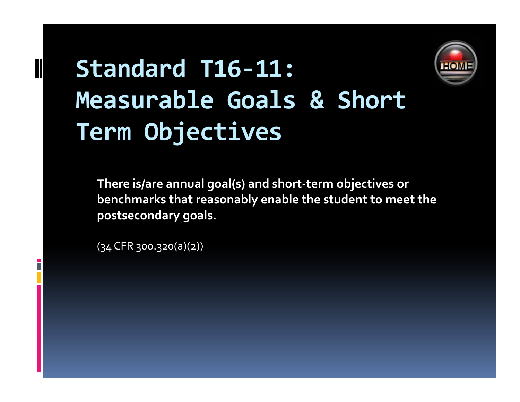

# **Standard T16‐11: Measurable Goals & Short Term Obj ti ec ves**

**There is/are annual goal(s) and short‐term objectives or benchmarks that reasonably enable the student to meet the postsecondary goals.**

(34 CFR 300.320(a)(2))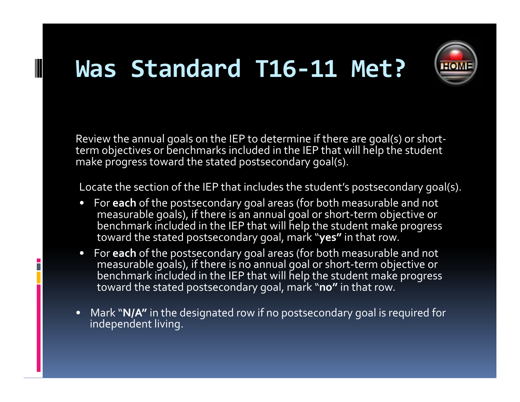# **Was Standard T16‐11 Met?**



Review the annual goals on the IEP to determine if there are goal(s) or short‐ term objectives or benchmarks included in the IEP that will help the student make progress toward the stated postsecondary goal(s).

Locate the section of the IEP that includes the student's postsecondary goal(s).

- For **each** of the postsecondary goal areas (for both measurable and not measurable goals), if there is an annual goal or short‐term objective or benchmark included in the IEP that will help the student make progress toward the stated postsecondary goal, mark "**yes"** in that row.
- For **each** of the postsecondary goal areas (for both measurable and not measurable goals), if there is no annual goal or short‐term objective or benchmark included in the IEP that will help the student make progress toward the stated postsecondary goal, mark "**no"** in that row.

H.

• Mark "**N/A"** in the designated row if no postsecondary goal is required for independent living.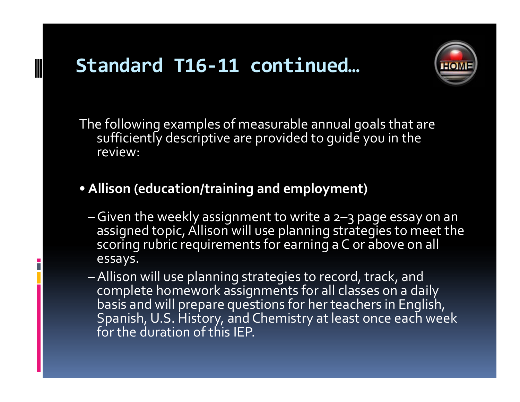

The following examples of measurable annual goals that are sufficiently descriptive are provided to guide you in the review:

- **Allison (education/training and employment)**
	- Given the weekly assignment to write <sup>a</sup> 2–3 page essay on an assigned topic, Allison will use planning strategies to meet the scoring rubric requirements for earning <sup>a</sup> C or above on all essays.
	- Allison will use planning strategies to record, track, and complete homework assignments for all classes on <sup>a</sup> daily basis and will prepare questions for her teachers in English, Spanish,U.S. History, and Chemistry at least once each week for the duration of this IEP.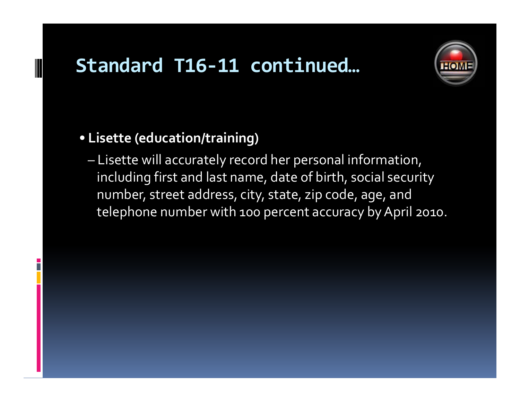

### • **Lisette (education/training)**

– Lisette will accurately record her personal information, including first and last name, date of birth, social security number, street address, city, state, zip code, age, and telephone number with 100 percent accuracy by April 2010.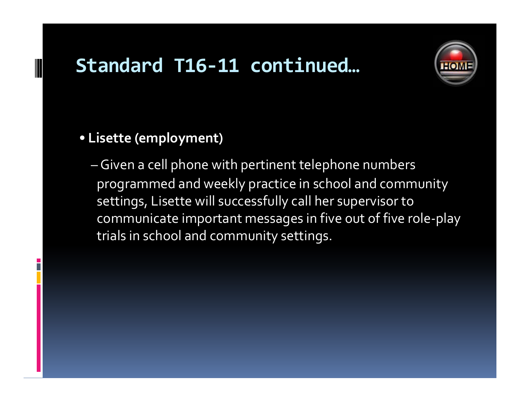

### • **Lisette (employment)**

– Given <sup>a</sup> cell phone with pertinent telephone numbers programmed and weekly practice in school and community settings, Lisette will successfully call her supervisor to communicate important messages in five out of five role-play trials in school and community settings.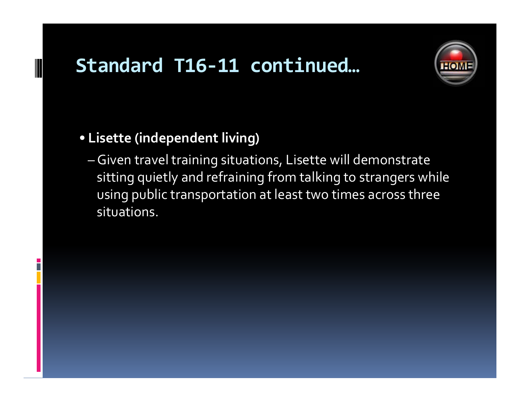

### • **Lisette (independent living)**

– Given travel training situations, Lisette will demonstrate sitting quietly and refraining from talking to strangers while using public transportation at least two times across three situations.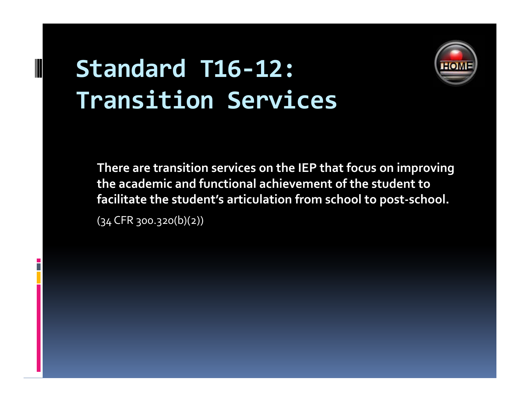# **Standard T16‐12: Transition Services**



**There are transition services on the IEP that focus on improving the academic and functional achievement of the student to facilitate the student's articulation from school to post‐school.**

 $(34$  CFR 300.320(b)(2))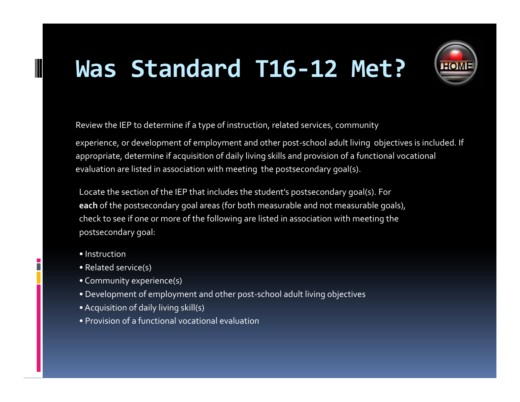# **Was Standard T16‐12 Met?**



Review the IEP to determine if a type of instruction, related services, community

experience, or development of employment and other post-school adult living objectives is included. If appropriate, determine if acquisition of daily living skills and provision of <sup>a</sup> functional vocational evaluation are listed in association with meeting the postsecondary goal(s).

Locate the section of the IEP that includes the student's postsecondary goal(s). For **each** of the postsecondary goal areas (for both measurable and not measurable goals), check to see if one or more of the following are listed in association with meeting the postsecondary goal:

• Instruction

B

- Related service(s)
- Community experience(s)
- Development of employment and other post‐school adult living objectives
- •Acquisition of daily living skill(s)
- Provision of <sup>a</sup> functional vocational evaluation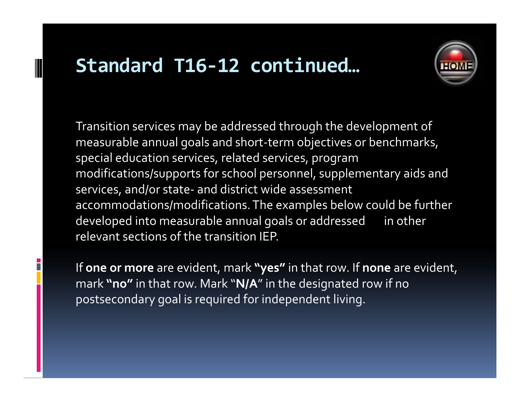

Transition services may be addressed through the development of measurable annual goals and short‐term objectives or benchmarks, special education services, related services, program modifications/supports for school personnel, supplementary aids and services, and/or state‐ and district wide assessment accommodations/modifications.The examples below could be further developed into measurable annual goals or addressed in other relevant sections of the transition IEP.

If **one or more** are evident, mark **"yes"** in that row. If **none** are evident, mark **"no"** in that row. Mark "**N/A**"in the designated row if no postsecondary goal is required for independent living.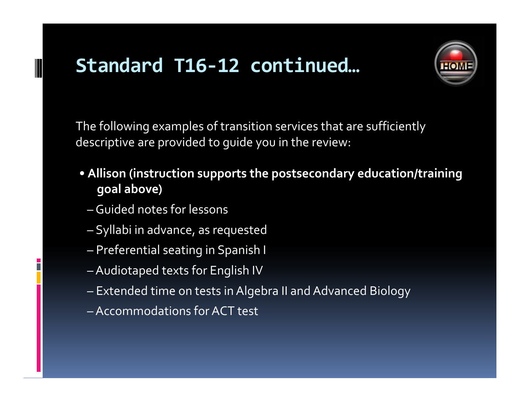

The following examples of transition services that are sufficiently descriptive are provided to guide you in the review:

- **Allison (instruction supports the postsecondary education/training goal above)**
	- Guided notes for lessons
	- Syllabi in advance, as requested
	- Preferential seating in Spanish <sup>I</sup>
	- $\mathcal{L}_{\mathcal{A}}$  , where  $\mathcal{L}_{\mathcal{A}}$  is the set of the set of the set of the set of the set of the set of the set of the set of the set of the set of the set of the set of the set of the set of the set of the set of the Audiotaped texts for English IV
	- Extended time on tests in Algebra II and Advanced Biology
	- Accommodations forACT test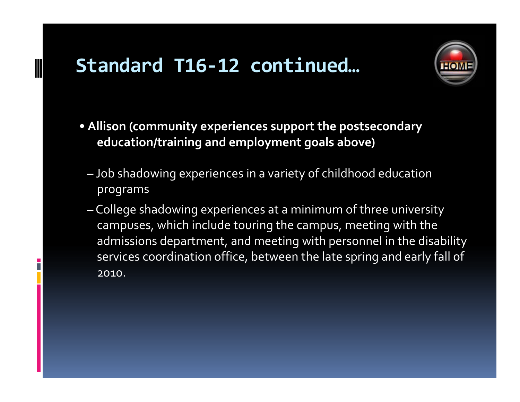

- **Allison (community experiences suppor<sup>t</sup> the postsecondary education/training and employment goals above)**
	- Job shadowing experiences in <sup>a</sup> variety of childhood education programs
	- $\mathcal{L}_{\mathcal{A}}$  , where  $\mathcal{L}_{\mathcal{A}}$  is the set of the set of the set of the set of the set of the set of the set of the set of the set of the set of the set of the set of the set of the set of the set of the set of the College shadowing experiences at <sup>a</sup> minimum of three university campuses, which include touring the campus, meeting with the admissions department, and meeting with personnel in the disability services coordination office, between the late spring and early fall of 2010.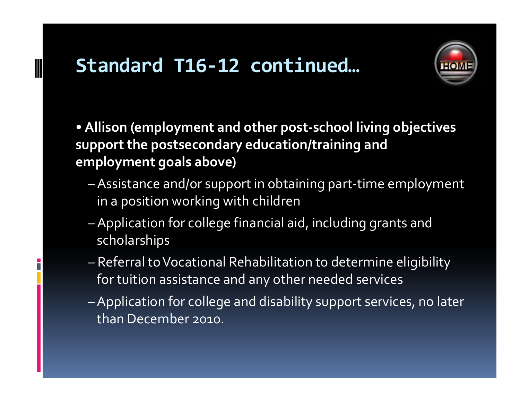

- Allison (employment and other post-school living objectives support the postsecondary education/training and employment goals above)
	- Assistance and/or support in obtaining part-time employment in a position working with children
	- Application for college financial aid, including grants and scholarships
	- Referral to Vocational Rehabilitation to determine eligibility for tuition assistance and any other needed services
	- Application for college and disability support services, no later than December 2010.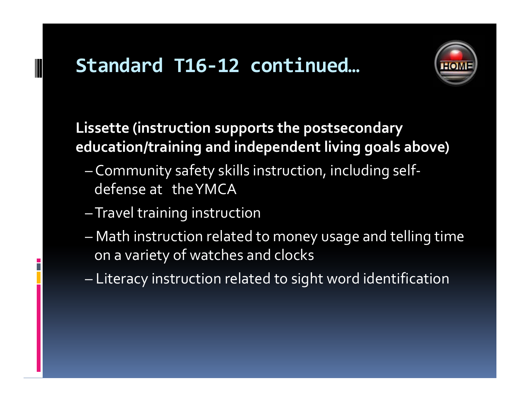

Lissette (instruction supports the postsecondary education/training and independent living goals above)

- Community safety skills instruction, including selfdefense at the YMCA
- -Travel training instruction
- Math instruction related to money usage and telling time on a variety of watches and clocks
- Literacy instruction related to sight word identification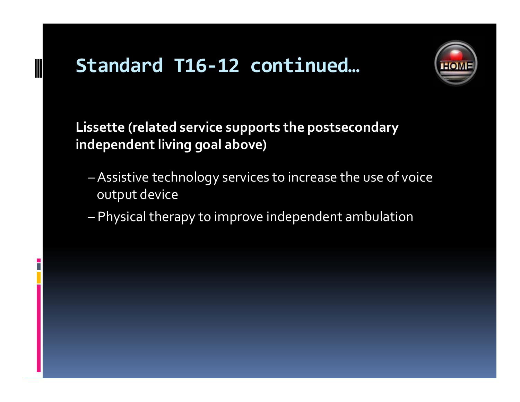

Lissette (related service supports the postsecondary independent living goal above)

- Assistive technology services to increase the use of voice output device
- Physical therapy to improve independent ambulation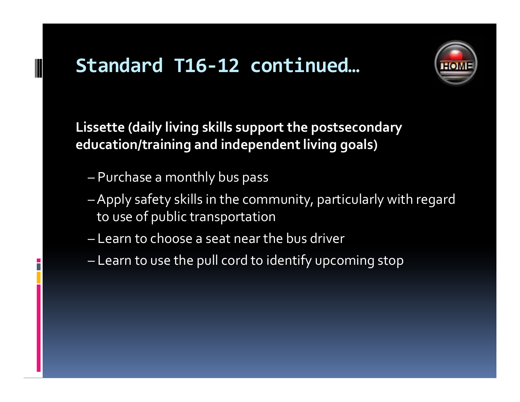

Lissette (daily living skills support the postsecondary education/training and independent living goals)

- Purchase a monthly bus pass
- Apply safety skills in the community, particularly with regard to use of public transportation
- Learn to choose a seat near the bus driver
- Learn to use the pull cord to identify upcoming stop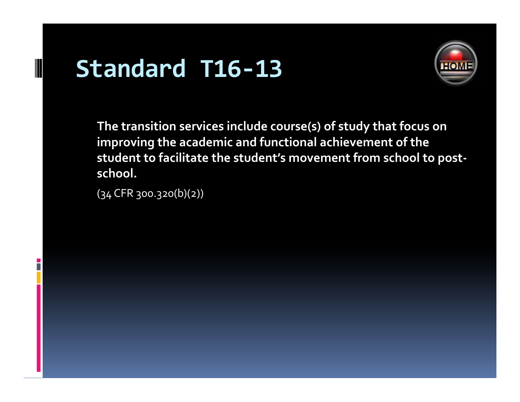# **Standard T16‐13**



**The transition services include course(s) of study that focus on improving the academic and functional achievement of the student to facilitate the student's movement from school to post‐ school.**

(34 CFR 300.320(b)(2))

P.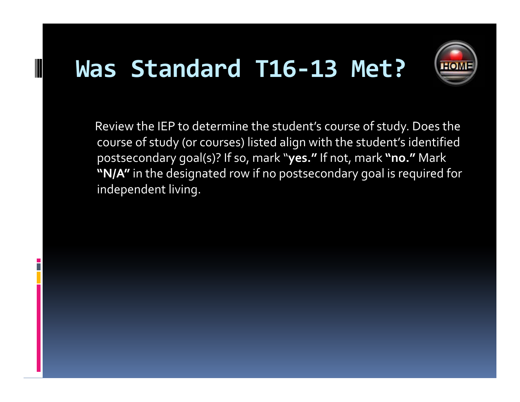# **Was Standard T16‐13 Met?**



Review the IEP to determine the student's course of study. Does the course of study (or courses) listed align with the student's identified postsecondary goal(s)? If so, mark "**yes."** If not, mark **"no."** Mark **"N/A"** in the designated row if no postsecondary goal is required for independent living.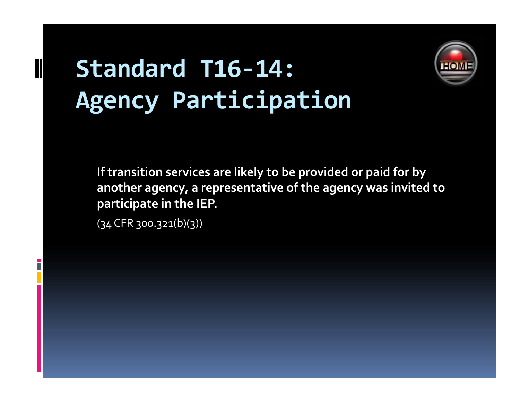# **Standard T16‐14: Agency Participation**



**If transition services are likely to be provided or paid for by another agency, <sup>a</sup> representative of the agency was invited to participate in the IEP.**

(34 CFR 300.321(b)(3))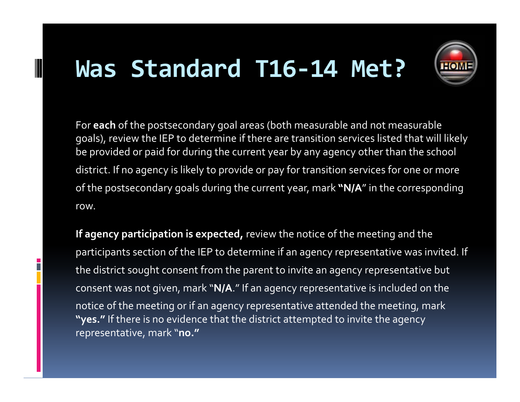# **Was Standard T16‐14 Met?**



For **each** of the postsecondary goal areas (both measurable and not measurable goals), review the IEP to determine if there are transition services listed that will likely be provided or paid for during the current year by any agency other than the school district. If no agency is likely to provide or pay for transition services for one or more of the postsecondary goals during the current year, mark **"N/A**" in the corresponding row.

**If agency participation is expected,** review the notice of the meeting and the participants section of the IEP to determine if an agency representative was invited. If the district sought consent from the paren<sup>t</sup> to invite an agency representative but consent was not given, mark "**N/A**." If an agency representative is included on the notice of the meeting or if an agency representative attended the meeting, mark **"yes."** If there is no evidence that the district attempted to invite the agency representative, mark "**no."**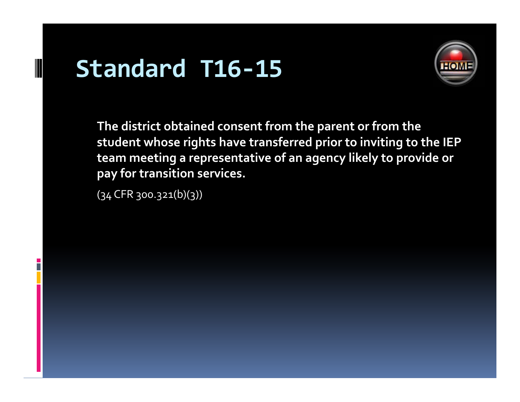# **Standard T16‐15**



**The district obtained consent from the paren<sup>t</sup> or from the student whose rights have transferred prior to inviting to the IEP team meeting <sup>a</sup> representative of an agency likely to provide or pay** for transition services.

(34 CFR 300.321(b)(3))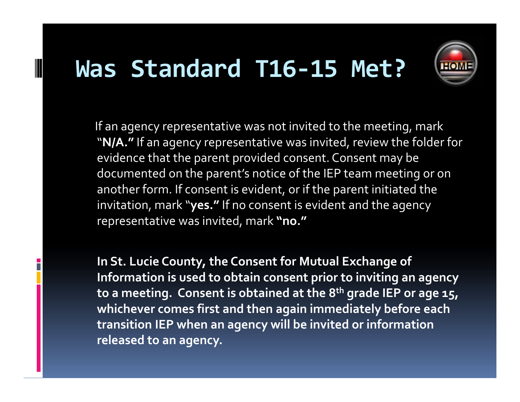## **Was Standard T16‐15 Met?**



If an agency representative was not invited to the meeting, mark "**N/A."** If an agency representative was invited, review the folder for evidence that the paren<sup>t</sup> provided consent. Consent may be documented on the parent's notice of the IEP team meeting or on another form. If consent is evident, or if the paren<sup>t</sup> initiated the invitation, mark "**yes."** If no consent is evident and the agency representative was invited, mark **"no."**

**In St. Lucie County, the Consent for Mutual Exchange of Information is used to obtain consent prior to inviting an agency to <sup>a</sup> meeting. Consent is obtained at the 8th grade IEP or age 15, whichever comes first and then again immediately before each transition IEP when an agency will be invited or information released to an agency.**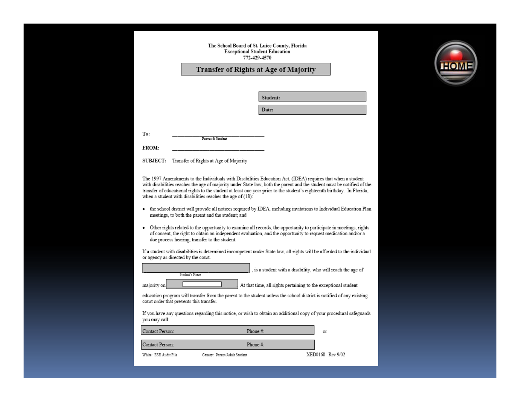#### The School Board of St. Luice County, Florida **Exceptional Student Education** 772-429-4570

#### Transfer of Rights at Age of Majority

|  | študent: |  |  |
|--|----------|--|--|

Date:

To:

**FROM:** 

SUBJECT: Transfer of Rights at Age of Majority

Parent & Student

The 1997 Amendments to the Individuals with Disabilities Education Act, (IDEA) requires that when a student with disabilities reaches the age of majority under State law, both the parent and the student must be notified of the transfer of educational rights to the student at least one year prior to the student's eighteenth birthday. In Florida, when a student with disabilities reaches the age of (18):

- the school district will provide all notices required by IDEA, including invitations to Individual Education Plan meetings, to both the parent and the student; and
- Other rights related to the opportunity to examine all records, the opportunity to participate in meetings, rights of consent, the right to obtain an independent evaluation, and the opportunity to request medication and/or a due process hearing, transfer to the student.

If a student with disabilities is determined incompetent under State law, all rights will be afforded to the individual or agency as directed by the court.

|             | Student's Name | t |
|-------------|----------------|---|
| majority on |                |   |

is a student with a disability, who will reach the age of

At that time, all rights pertaining to the exceptional student

education program will transfer from the parent to the student unless the school district is notified of any existing court order that prevents this transfer.

If you have any questions regarding this notice, or wish to obtain an additional copy of your procedural safeguards you may call:

| Contact Person:       | Phone $#$ :                  | or               |
|-----------------------|------------------------------|------------------|
| Contact Person:       | Phone $#$ :                  |                  |
| White: ESE Audit File | Canary: Parent/Adult Student | XED0168 Rev 9/02 |

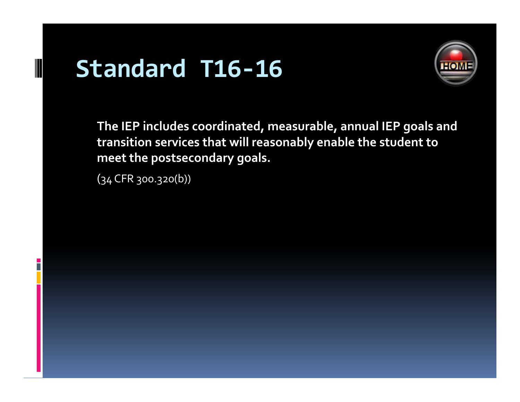# **Standard T16‐16**



**The IEP includes coordinated coordinated, measurable measurable, annual IEP goals and transition services that will reasonably enable the student to meet the postsecondary goals.**

(34 CFR 300.320(b))

B